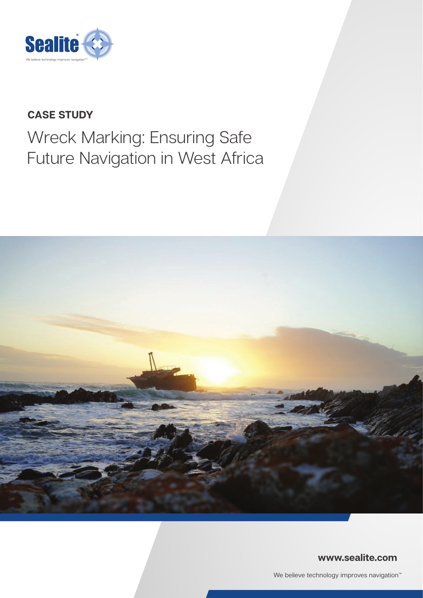

# **CASE STUDY**

# Wreck Marking: Ensuring Safe Future Navigation in West Africa



### **www.sealite.com**

We believe technology improves navigation<sup>™</sup>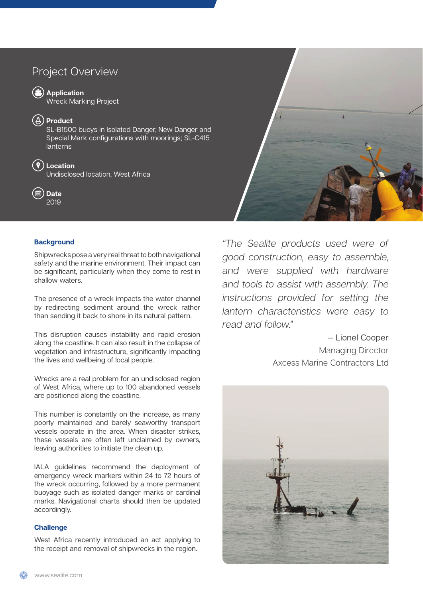## Project Overview

**Application** 

Wreck Marking Project

**Product** 

SL-B1500 buoys in Isolated Danger, New Danger and Special Mark configurations with moorings; SL-C415 lanterns

#### **Location**

Undisclosed location, West Africa

**Date** 2019

#### **Background**

Shipwrecks pose a very real threat to both navigational safety and the marine environment. Their impact can be significant, particularly when they come to rest in shallow waters.

The presence of a wreck impacts the water channel by redirecting sediment around the wreck rather than sending it back to shore in its natural pattern.

This disruption causes instability and rapid erosion along the coastline. It can also result in the collapse of vegetation and infrastructure, significantly impacting the lives and wellbeing of local people.

Wrecks are a real problem for an undisclosed region of West Africa, where up to 100 abandoned vessels are positioned along the coastline.

This number is constantly on the increase, as many poorly maintained and barely seaworthy transport vessels operate in the area. When disaster strikes, these vessels are often left unclaimed by owners, leaving authorities to initiate the clean up.

IALA guidelines recommend the deployment of emergency wreck markers within 24 to 72 hours of the wreck occurring, followed by a more permanent buoyage such as isolated danger marks or cardinal marks. Navigational charts should then be updated accordingly.

#### **Challenge**

West Africa recently introduced an act applying to the receipt and removal of shipwrecks in the region.



*"The Sealite products used were of good construction, easy to assemble, and were supplied with hardware and tools to assist with assembly. The instructions provided for setting the lantern characteristics were easy to read and follow."*

> — Lionel Cooper Managing Director Axcess Marine Contractors Ltd

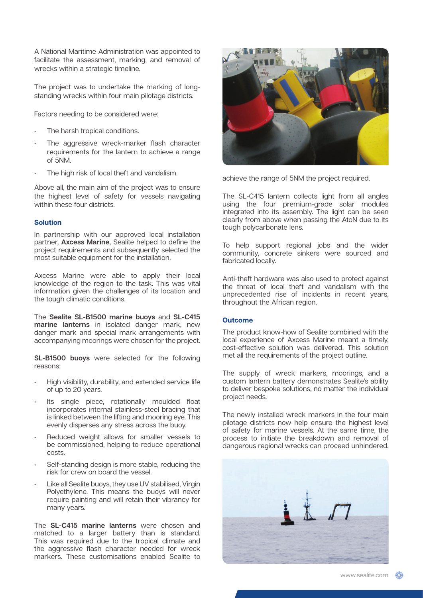A National Maritime Administration was appointed to facilitate the assessment, marking, and removal of wrecks within a strategic timeline.

The project was to undertake the marking of longstanding wrecks within four main pilotage districts.

Factors needing to be considered were:

- The harsh tropical conditions.
- The aggressive wreck-marker flash character requirements for the lantern to achieve a range of 5NM.
- The high risk of local theft and vandalism.

Above all, the main aim of the project was to ensure the highest level of safety for vessels navigating within these four districts.

#### **Solution**

In partnership with our approved local installation partner, **Axcess Marine**, Sealite helped to define the project requirements and subsequently selected the most suitable equipment for the installation.

Axcess Marine were able to apply their local knowledge of the region to the task. This was vital information given the challenges of its location and the tough climatic conditions.

The **Sealite SL-B1500 marine buoys** and **SL-C415 marine lanterns** in isolated danger mark, new danger mark and special mark arrangements with accompanying moorings were chosen for the project.

**SL-B1500 buoys** were selected for the following reasons:

- High visibility, durability, and extended service life of up to 20 years.
- Its single piece, rotationally moulded float incorporates internal stainless-steel bracing that is linked between the lifting and mooring eye. This evenly disperses any stress across the buoy.
- Reduced weight allows for smaller vessels to be commissioned, helping to reduce operational costs.
- Self-standing design is more stable, reducing the risk for crew on board the vessel.
- Like all Sealite buoys, they use UV stabilised, Virgin Polyethylene. This means the buoys will never require painting and will retain their vibrancy for many years.

The **SL-C415 marine lanterns** were chosen and matched to a larger battery than is standard. This was required due to the tropical climate and the aggressive flash character needed for wreck markers. These customisations enabled Sealite to



achieve the range of 5NM the project required.

The SL-C415 lantern collects light from all angles using the four premium-grade solar modules integrated into its assembly. The light can be seen clearly from above when passing the AtoN due to its tough polycarbonate lens.

To help support regional jobs and the wider community, concrete sinkers were sourced and fabricated locally.

Anti-theft hardware was also used to protect against the threat of local theft and vandalism with the unprecedented rise of incidents in recent years, throughout the African region.

#### **Outcome**

The product know-how of Sealite combined with the local experience of Axcess Marine meant a timely, cost-effective solution was delivered. This solution met all the requirements of the project outline.

The supply of wreck markers, moorings, and a custom lantern battery demonstrates Sealite's ability to deliver bespoke solutions, no matter the individual project needs.

The newly installed wreck markers in the four main pilotage districts now help ensure the highest level of safety for marine vessels. At the same time, the process to initiate the breakdown and removal of dangerous regional wrecks can proceed unhindered.